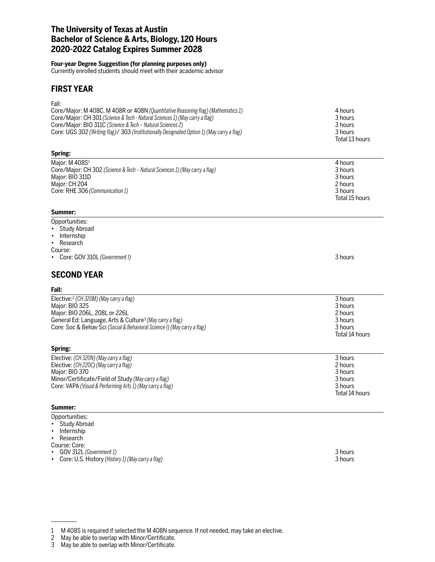## **The University of Texas at Austin Bachelor of Science & Arts, Biology, 120 Hours 2020-2022 Catalog Expires Summer 2028**

### **Four-year Degree Suggestion (for planning purposes only)**

Currently enrolled students should meet with their academic advisor

## **FIRST YEAR**

Fall:

| Core/Major: M 408C, M 408R or 408N (Quantitative Reasoning flag) (Mathematics 1)           | 4 hours        |
|--------------------------------------------------------------------------------------------|----------------|
| Core/Major: CH 301 (Science & Tech - Natural Sciences 1) (May carry a flag)                | 3 hours        |
| Core/Major: BIO 311C (Science & Tech – Natural Sciences 2)                                 | 3 hours        |
| Core: UGS 302 (Writing flag)/ 303 (Institutionally Designated Option 1) (May carry a flag) | 3 hours        |
|                                                                                            | Total 13 hours |

### **Spring:**

| Maior: M 408S <sup>1</sup>                                                  | 4 hours        |
|-----------------------------------------------------------------------------|----------------|
| Core/Major: CH 302 (Science & Tech – Natural Sciences 1) (May carry a flag) | 3 hours        |
| Maior: BIO 311D                                                             | 3 hours        |
| Maior: CH 204                                                               | 2 hours        |
| Core: RHE 306 (Communication 1)                                             | 3 hours        |
|                                                                             | Total 15 hours |

### **Summer:**

## Opportunities:

- Study Abroad
- Internship
- Research

Course:

• Core: GOV 310L *(Government I)* 3 hours

# **SECOND YEAR**

### **Fall:**

| Elective: $\frac{2}{c}$ (CH 320M) (May carry a flag)                     | 3 hours        |
|--------------------------------------------------------------------------|----------------|
| Major: BIO 325                                                           | 3 hours        |
| Major: BIO 206L, 208L or 226L                                            | 2 hours        |
| General Ed: Language, Arts & Culture <sup>3</sup> (May carry a flag)     | 3 hours        |
| Core: Soc & Behav Sci (Social & Behavioral Science I) (May carry a flag) | 3 hours        |
|                                                                          | Total 14 hours |

## **Spring:**

| Elective: (CH 320N) (May carry a flag)                     | 3 hours        |
|------------------------------------------------------------|----------------|
| Elective: (CH 220C) (May carry a flag)                     | 2 hours        |
| Major: BIO 370                                             | 3 hours        |
| Minor/Certificate/Field of Study (May carry a flag)        | 3 hours        |
| Core: VAPA (Visual & Performing Arts 1) (May carry a flag) | 3 hours        |
|                                                            | Total 14 hours |

### **Summer:**

Opportunities:

- Study Abroad
- Internship
- Research

Course: Core:

• GOV 312L *(Government 1)* 3 hours

May be able to overlap with Minor/Certificate.

<sup>•</sup> Core: U.S. History (History 1) (May carry a flag)

<sup>1</sup> M 408S is required if selected the M 408N sequence. If not needed, may take an elective.<br>2 May be able to overlap with Minor/Certificate.<br>3 May be able to overlap with Minor/Certificate.

May be able to overlap with Minor/Certificate.